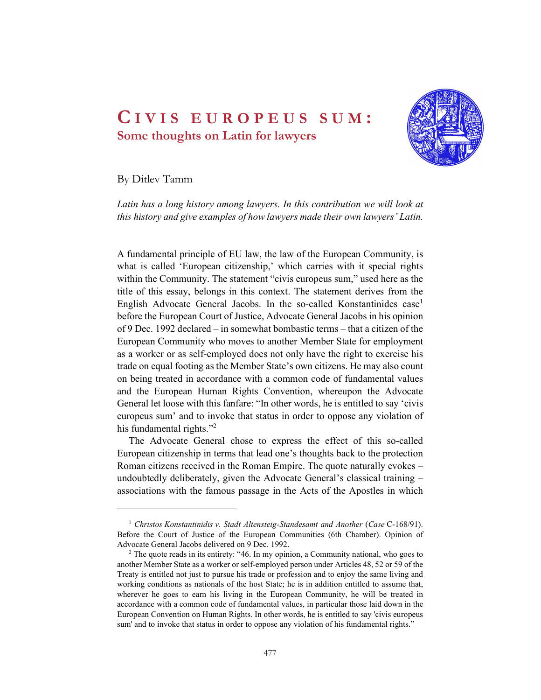# CIVIS EUROPEUS SUM :<br>Some thoughts on Latin for lawyers<br>By Ditlev Tamm Some thoughts on Latin for lawyers



By Ditlev Tamm

Latin has a long history among lawyers. In this contribution we will look at this history and give examples of how lawyers made their own lawyers' Latin.

A fundamental principle of EU law, the law of the European Community, is what is called 'European citizenship,' which carries with it special rights within the Community. The statement "civis europeus sum," used here as the title of this essay, belongs in this context. The statement derives from the English Advocate General Jacobs. In the so-called Konstantinides case<sup>1</sup> before the European Court of Justice, Advocate General Jacobs in his opinion of 9 Dec. 1992 declared – in somewhat bombastic terms – that a citizen of the European Community who moves to another Member State for employment as a worker or as self-employed does not only have the right to exercise his trade on equal footing as the Member State's own citizens. He may also count on being treated in accordance with a common code of fundamental values and the European Human Rights Convention, whereupon the Advocate General let loose with this fanfare: "In other words, he is entitled to say 'civis europeus sum' and to invoke that status in order to oppose any violation of his fundamental rights."<sup>2</sup>

The Advocate General chose to express the effect of this so-called European citizenship in terms that lead one's thoughts back to the protection Roman citizens received in the Roman Empire. The quote naturally evokes – undoubtedly deliberately, given the Advocate General's classical training – associations with the famous passage in the Acts of the Apostles in which<br>
1 Christos Konstantinidis v. Stadt Altensteig-Standesamt and Another (Case C-168/91).

Before the Court of Justice of the European Communities (6th Chamber). Opinion of Advocate General Jacobs delivered on 9 Dec. 1992.

 $2$  The quote reads in its entirety: "46. In my opinion, a Community national, who goes to another Member State as a worker or self-employed person under Articles 48, 52 or 59 of the Treaty is entitled not just to pursue his trade or profession and to enjoy the same living and working conditions as nationals of the host State; he is in addition entitled to assume that, wherever he goes to earn his living in the European Community, he will be treated in accordance with a common code of fundamental values, in particular those laid down in the European Convention on Human Rights. In other words, he is entitled to say 'civis europeus sum' and to invoke that status in order to oppose any violation of his fundamental rights."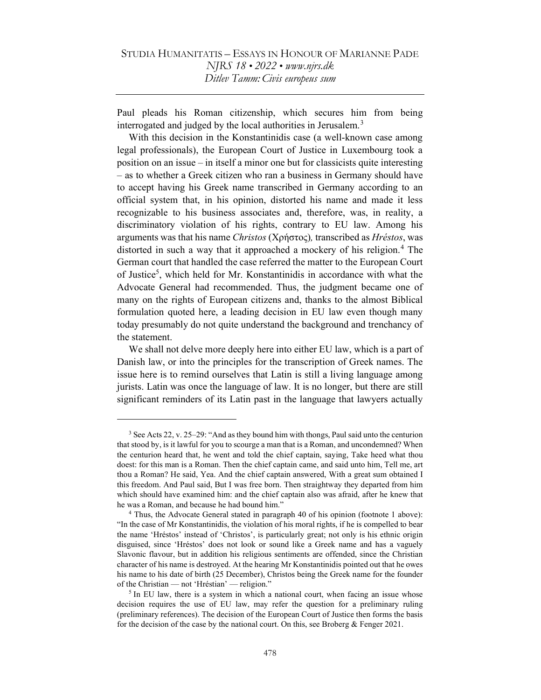Paul pleads his Roman citizenship, which secures him from being interrogated and judged by the local authorities in Jerusalem.<sup>3</sup>

With this decision in the Konstantinidis case (a well-known case among legal professionals), the European Court of Justice in Luxembourg took a position on an issue – in itself a minor one but for classicists quite interesting – as to whether a Greek citizen who ran a business in Germany should have to accept having his Greek name transcribed in Germany according to an official system that, in his opinion, distorted his name and made it less recognizable to his business associates and, therefore, was, in reality, a discriminatory violation of his rights, contrary to EU law. Among his arguments was that his name Christos (Χρήστος), transcribed as Hréstos, was distorted in such a way that it approached a mockery of his religion.<sup>4</sup> The German court that handled the case referred the matter to the European Court of Justice<sup>5</sup>, which held for Mr. Konstantinidis in accordance with what the Advocate General had recommended. Thus, the judgment became one of many on the rights of European citizens and, thanks to the almost Biblical formulation quoted here, a leading decision in EU law even though many today presumably do not quite understand the background and trenchancy of the statement.

We shall not delve more deeply here into either EU law, which is a part of Danish law, or into the principles for the transcription of Greek names. The issue here is to remind ourselves that Latin is still a living language among jurists. Latin was once the language of law. It is no longer, but there are still significant reminders of its Latin past in the language that lawyers actually

 $3$  See Acts 22, v. 25–29: "And as they bound him with thongs, Paul said unto the centurion that stood by, is it lawful for you to scourge a man that is a Roman, and uncondemned? When the centurion heard that, he went and told the chief captain, saying, Take heed what thou doest: for this man is a Roman. Then the chief captain came, and said unto him, Tell me, art thou a Roman? He said, Yea. And the chief captain answered, With a great sum obtained I this freedom. And Paul said, But I was free born. Then straightway they departed from him which should have examined him: and the chief captain also was afraid, after he knew that he was a Roman, and because he had bound him."

<sup>&</sup>lt;sup>4</sup> Thus, the Advocate General stated in paragraph 40 of his opinion (footnote 1 above): "In the case of Mr Konstantinidis, the violation of his moral rights, if he is compelled to bear the name 'Hréstos' instead of 'Christos', is particularly great; not only is his ethnic origin disguised, since 'Hréstos' does not look or sound like a Greek name and has a vaguely Slavonic flavour, but in addition his religious sentiments are offended, since the Christian character of his name is destroyed. At the hearing Mr Konstantinidis pointed out that he owes his name to his date of birth (25 December), Christos being the Greek name for the founder of the Christian — not 'Hréstian' — religion."

 $<sup>5</sup>$  In EU law, there is a system in which a national court, when facing an issue whose</sup> decision requires the use of EU law, may refer the question for a preliminary ruling (preliminary references). The decision of the European Court of Justice then forms the basis for the decision of the case by the national court. On this, see Broberg  $&$  Fenger 2021.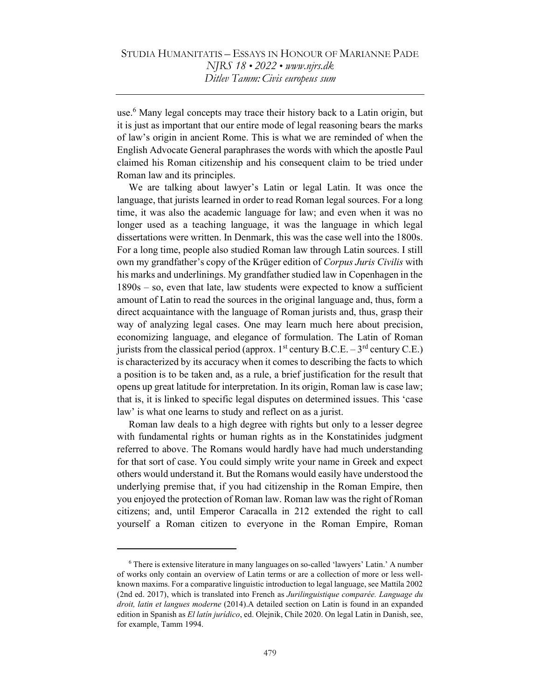use.<sup>6</sup> Many legal concepts may trace their history back to a Latin origin, but it is just as important that our entire mode of legal reasoning bears the marks of law's origin in ancient Rome. This is what we are reminded of when the English Advocate General paraphrases the words with which the apostle Paul claimed his Roman citizenship and his consequent claim to be tried under Roman law and its principles.

We are talking about lawyer's Latin or legal Latin. It was once the language, that jurists learned in order to read Roman legal sources. For a long time, it was also the academic language for law; and even when it was no longer used as a teaching language, it was the language in which legal dissertations were written. In Denmark, this was the case well into the 1800s. For a long time, people also studied Roman law through Latin sources. I still own my grandfather's copy of the Krüger edition of Corpus Juris Civilis with his marks and underlinings. My grandfather studied law in Copenhagen in the 1890s – so, even that late, law students were expected to know a sufficient amount of Latin to read the sources in the original language and, thus, form a direct acquaintance with the language of Roman jurists and, thus, grasp their way of analyzing legal cases. One may learn much here about precision, economizing language, and elegance of formulation. The Latin of Roman jurists from the classical period (approx.  $1<sup>st</sup>$  century B.C.E. –  $3<sup>rd</sup>$  century C.E.) is characterized by its accuracy when it comes to describing the facts to which a position is to be taken and, as a rule, a brief justification for the result that opens up great latitude for interpretation. In its origin, Roman law is case law; that is, it is linked to specific legal disputes on determined issues. This 'case law' is what one learns to study and reflect on as a jurist.

Roman law deals to a high degree with rights but only to a lesser degree with fundamental rights or human rights as in the Konstatinides judgment referred to above. The Romans would hardly have had much understanding for that sort of case. You could simply write your name in Greek and expect others would understand it. But the Romans would easily have understood the underlying premise that, if you had citizenship in the Roman Empire, then you enjoyed the protection of Roman law. Roman law was the right of Roman citizens; and, until Emperor Caracalla in 212 extended the right to call yourself a Roman citizen to everyone in the Roman Empire, Roman

<sup>&</sup>lt;sup>6</sup> There is extensive literature in many languages on so-called 'lawyers' Latin.' A number of works only contain an overview of Latin terms or are a collection of more or less wellknown maxims. For a comparative linguistic introduction to legal language, see Mattila 2002 (2nd ed. 2017), which is translated into French as Jurilinguistique comparée. Language du droit, latin et langues moderne (2014).A detailed section on Latin is found in an expanded edition in Spanish as El latín jurídico, ed. Olejnik, Chile 2020. On legal Latin in Danish, see, for example, Tamm 1994.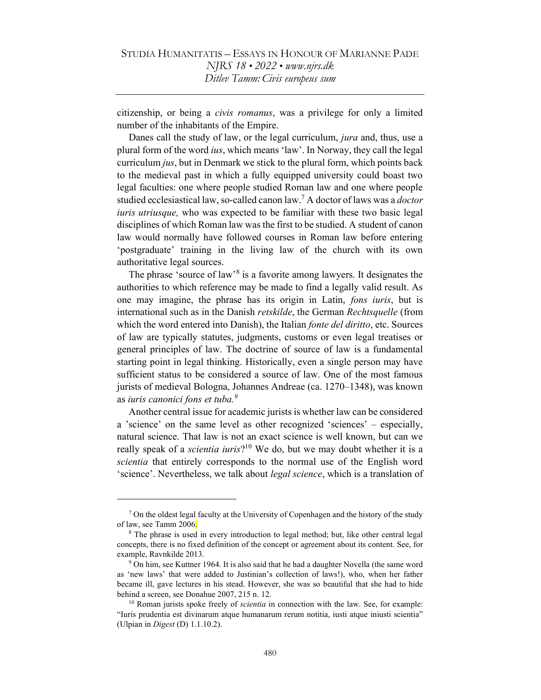citizenship, or being a civis romanus, was a privilege for only a limited number of the inhabitants of the Empire.

Danes call the study of law, or the legal curriculum, *jura* and, thus, use a plural form of the word ius, which means 'law'. In Norway, they call the legal curriculum jus, but in Denmark we stick to the plural form, which points back to the medieval past in which a fully equipped university could boast two legal faculties: one where people studied Roman law and one where people studied ecclesiastical law, so-called canon law.<sup>7</sup> A doctor of laws was a *doctor* iuris utriusque, who was expected to be familiar with these two basic legal disciplines of which Roman law was the first to be studied. A student of canon law would normally have followed courses in Roman law before entering 'postgraduate' training in the living law of the church with its own authoritative legal sources.

The phrase 'source of law<sup>8</sup> is a favorite among lawyers. It designates the authorities to which reference may be made to find a legally valid result. As one may imagine, the phrase has its origin in Latin, *fons iuris*, but is international such as in the Danish *retskilde*, the German *Rechtsquelle* (from which the word entered into Danish), the Italian *fonte del diritto*, etc. Sources of law are typically statutes, judgments, customs or even legal treatises or general principles of law. The doctrine of source of law is a fundamental starting point in legal thinking. Historically, even a single person may have sufficient status to be considered a source of law. One of the most famous jurists of medieval Bologna, Johannes Andreae (ca. 1270–1348), was known as iuris canonici fons et tuba. $9$ 

Another central issue for academic jurists is whether law can be considered a 'science' on the same level as other recognized 'sciences' – especially, natural science. That law is not an exact science is well known, but can we really speak of a *scientia iuris*?<sup>10</sup> We do, but we may doubt whether it is a scientia that entirely corresponds to the normal use of the English word 'science'. Nevertheless, we talk about legal science, which is a translation of

<sup>&</sup>lt;sup>7</sup> On the oldest legal faculty at the University of Copenhagen and the history of the study of law, see Tamm 2006.

<sup>&</sup>lt;sup>8</sup> The phrase is used in every introduction to legal method; but, like other central legal concepts, there is no fixed definition of the concept or agreement about its content. See, for example, Ravnkilde 2013.

<sup>&</sup>lt;sup>9</sup> On him, see Kuttner 1964. It is also said that he had a daughter Novella (the same word as 'new laws' that were added to Justinian's collection of laws!), who, when her father became ill, gave lectures in his stead. However, she was so beautiful that she had to hide behind a screen, see Donahue 2007, 215 n. 12.

<sup>&</sup>lt;sup>10</sup> Roman jurists spoke freely of *scientia* in connection with the law. See, for example: "Iuris prudentia est divinarum atque humanarum rerum notitia, iusti atque iniusti scientia" (Ulpian in Digest (D) 1.1.10.2).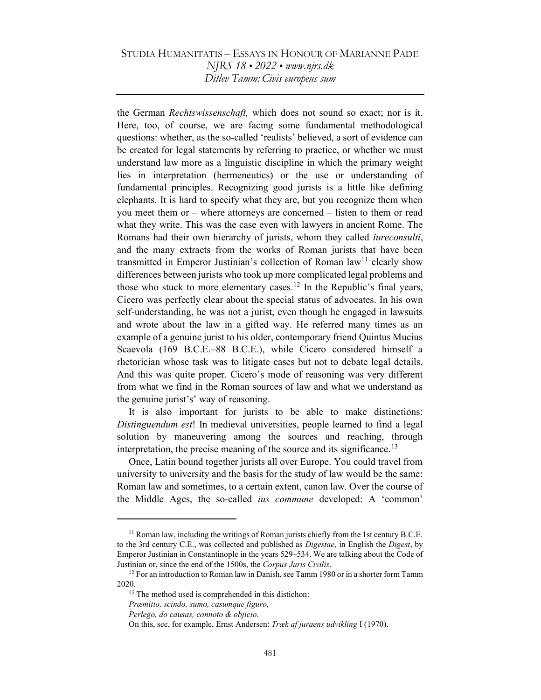the German Rechtswissenschaft, which does not sound so exact; nor is it. Here, too, of course, we are facing some fundamental methodological questions: whether, as the so-called 'realists' believed, a sort of evidence can be created for legal statements by referring to practice, or whether we must understand law more as a linguistic discipline in which the primary weight lies in interpretation (hermeneutics) or the use or understanding of fundamental principles. Recognizing good jurists is a little like defining elephants. It is hard to specify what they are, but you recognize them when you meet them or – where attorneys are concerned – listen to them or read what they write. This was the case even with lawyers in ancient Rome. The Romans had their own hierarchy of jurists, whom they called *iureconsulti*, and the many extracts from the works of Roman jurists that have been transmitted in Emperor Justinian's collection of Roman law<sup>11</sup> clearly show differences between jurists who took up more complicated legal problems and those who stuck to more elementary cases.<sup>12</sup> In the Republic's final years, Cicero was perfectly clear about the special status of advocates. In his own self-understanding, he was not a jurist, even though he engaged in lawsuits and wrote about the law in a gifted way. He referred many times as an example of a genuine jurist to his older, contemporary friend Quintus Mucius Scaevola (169 B.C.E.–88 B.C.E.), while Cicero considered himself a rhetorician whose task was to litigate cases but not to debate legal details. And this was quite proper. Cicero's mode of reasoning was very different from what we find in the Roman sources of law and what we understand as the genuine jurist's' way of reasoning.

It is also important for jurists to be able to make distinctions: Distinguendum est! In medieval universities, people learned to find a legal solution by maneuvering among the sources and reaching, through interpretation, the precise meaning of the source and its significance.<sup>13</sup>

Once, Latin bound together jurists all over Europe. You could travel from university to university and the basis for the study of law would be the same: Roman law and sometimes, to a certain extent, canon law. Over the course of the Middle Ages, the so-called ius commune developed: A 'common'

 $11$  Roman law, including the writings of Roman jurists chiefly from the 1st century B.C.E. to the 3rd century C.E., was collected and published as *Digestae*, in English the *Digest*, by Emperor Justinian in Constantinople in the years 529–534. We are talking about the Code of Justinian or, since the end of the 1500s, the Corpus Juris Civilis.

<sup>&</sup>lt;sup>12</sup> For an introduction to Roman law in Danish, see Tamm 1980 or in a shorter form Tamm 2020.

<sup>&</sup>lt;sup>13</sup> The method used is comprehended in this distichon:

Præmitto, scindo, sumo, casumque figuro,

Perlego, do causas, connoto & objicio.

On this, see, for example, Ernst Andersen: Træk af juraens udvikling I (1970).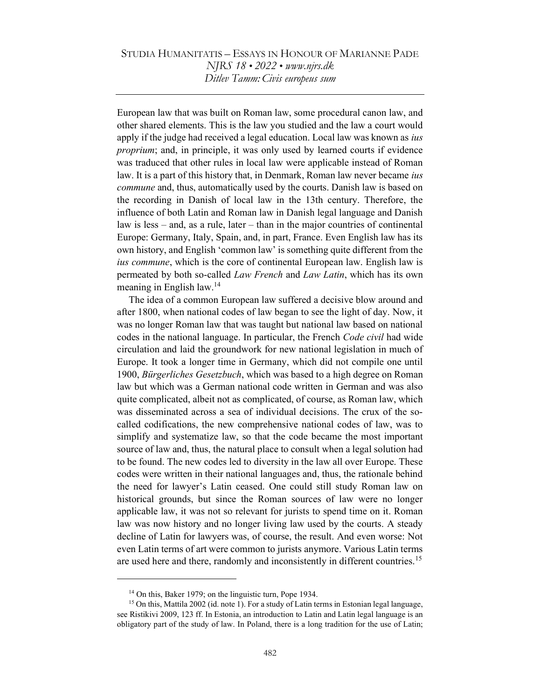European law that was built on Roman law, some procedural canon law, and other shared elements. This is the law you studied and the law a court would apply if the judge had received a legal education. Local law was known as *ius* proprium; and, in principle, it was only used by learned courts if evidence was traduced that other rules in local law were applicable instead of Roman law. It is a part of this history that, in Denmark, Roman law never became *ius* commune and, thus, automatically used by the courts. Danish law is based on the recording in Danish of local law in the 13th century. Therefore, the influence of both Latin and Roman law in Danish legal language and Danish law is less – and, as a rule, later – than in the major countries of continental Europe: Germany, Italy, Spain, and, in part, France. Even English law has its own history, and English 'common law' is something quite different from the ius commune, which is the core of continental European law. English law is permeated by both so-called Law French and Law Latin, which has its own meaning in English law.<sup>14</sup>

The idea of a common European law suffered a decisive blow around and after 1800, when national codes of law began to see the light of day. Now, it was no longer Roman law that was taught but national law based on national codes in the national language. In particular, the French Code civil had wide circulation and laid the groundwork for new national legislation in much of Europe. It took a longer time in Germany, which did not compile one until 1900, Bürgerliches Gesetzbuch, which was based to a high degree on Roman law but which was a German national code written in German and was also quite complicated, albeit not as complicated, of course, as Roman law, which was disseminated across a sea of individual decisions. The crux of the socalled codifications, the new comprehensive national codes of law, was to simplify and systematize law, so that the code became the most important source of law and, thus, the natural place to consult when a legal solution had to be found. The new codes led to diversity in the law all over Europe. These codes were written in their national languages and, thus, the rationale behind the need for lawyer's Latin ceased. One could still study Roman law on historical grounds, but since the Roman sources of law were no longer applicable law, it was not so relevant for jurists to spend time on it. Roman law was now history and no longer living law used by the courts. A steady decline of Latin for lawyers was, of course, the result. And even worse: Not even Latin terms of art were common to jurists anymore. Various Latin terms are used here and there, randomly and inconsistently in different countries.<sup>15</sup>

<sup>14</sup> On this, Baker 1979; on the linguistic turn, Pope 1934.

<sup>&</sup>lt;sup>15</sup> On this, Mattila 2002 (id. note 1). For a study of Latin terms in Estonian legal language, see Ristikivi 2009, 123 ff. In Estonia, an introduction to Latin and Latin legal language is an obligatory part of the study of law. In Poland, there is a long tradition for the use of Latin;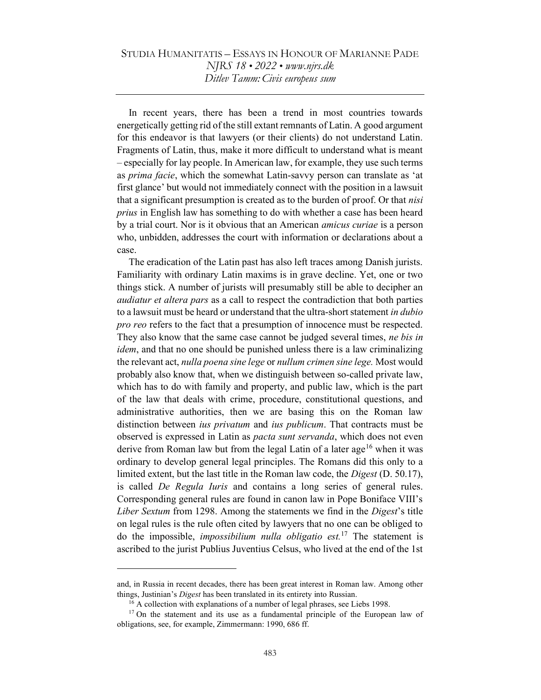In recent years, there has been a trend in most countries towards energetically getting rid of the still extant remnants of Latin. A good argument for this endeavor is that lawyers (or their clients) do not understand Latin. Fragments of Latin, thus, make it more difficult to understand what is meant – especially for lay people. In American law, for example, they use such terms as *prima facie*, which the somewhat Latin-savvy person can translate as 'at first glance' but would not immediately connect with the position in a lawsuit that a significant presumption is created as to the burden of proof. Or that nisi prius in English law has something to do with whether a case has been heard by a trial court. Nor is it obvious that an American amicus curiae is a person who, unbidden, addresses the court with information or declarations about a case.

The eradication of the Latin past has also left traces among Danish jurists. Familiarity with ordinary Latin maxims is in grave decline. Yet, one or two things stick. A number of jurists will presumably still be able to decipher an audiatur et altera pars as a call to respect the contradiction that both parties to a lawsuit must be heard or understand that the ultra-short statement in dubio pro reo refers to the fact that a presumption of innocence must be respected. They also know that the same case cannot be judged several times, ne bis in idem, and that no one should be punished unless there is a law criminalizing the relevant act, nulla poena sine lege or nullum crimen sine lege. Most would probably also know that, when we distinguish between so-called private law, which has to do with family and property, and public law, which is the part of the law that deals with crime, procedure, constitutional questions, and administrative authorities, then we are basing this on the Roman law distinction between *ius privatum* and *ius publicum*. That contracts must be observed is expressed in Latin as *pacta sunt servanda*, which does not even derive from Roman law but from the legal Latin of a later age<sup>16</sup> when it was ordinary to develop general legal principles. The Romans did this only to a limited extent, but the last title in the Roman law code, the Digest (D. 50.17), is called De Regula Iuris and contains a long series of general rules. Corresponding general rules are found in canon law in Pope Boniface VIII's Liber Sextum from 1298. Among the statements we find in the Digest's title on legal rules is the rule often cited by lawyers that no one can be obliged to do the impossible, *impossibilium nulla obligatio est*.<sup>17</sup> The statement is ascribed to the jurist Publius Juventius Celsus, who lived at the end of the 1st

and, in Russia in recent decades, there has been great interest in Roman law. Among other things, Justinian's *Digest* has been translated in its entirety into Russian.

<sup>&</sup>lt;sup>16</sup> A collection with explanations of a number of legal phrases, see Liebs 1998.

<sup>&</sup>lt;sup>17</sup> On the statement and its use as a fundamental principle of the European law of obligations, see, for example, Zimmermann: 1990, 686 ff.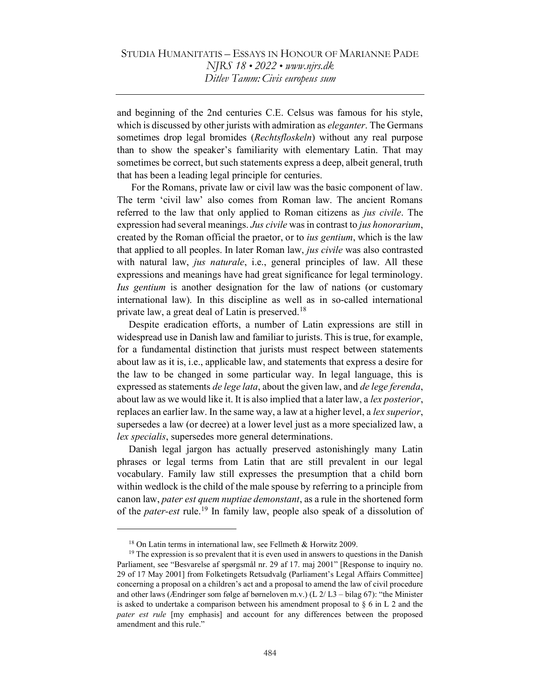and beginning of the 2nd centuries C.E. Celsus was famous for his style, which is discussed by other jurists with admiration as *eleganter*. The Germans sometimes drop legal bromides *(Rechtsfloskeln)* without any real purpose than to show the speaker's familiarity with elementary Latin. That may sometimes be correct, but such statements express a deep, albeit general, truth that has been a leading legal principle for centuries.

 For the Romans, private law or civil law was the basic component of law. The term 'civil law' also comes from Roman law. The ancient Romans referred to the law that only applied to Roman citizens as *jus civile*. The expression had several meanings. Jus civile was in contrast to jus honorarium, created by the Roman official the praetor, or to *ius gentium*, which is the law that applied to all peoples. In later Roman law, *jus civile* was also contrasted with natural law, *jus naturale*, *i.e.*, general principles of law. All these expressions and meanings have had great significance for legal terminology. Ius gentium is another designation for the law of nations (or customary international law). In this discipline as well as in so-called international private law, a great deal of Latin is preserved.<sup>18</sup>

Despite eradication efforts, a number of Latin expressions are still in widespread use in Danish law and familiar to jurists. This is true, for example, for a fundamental distinction that jurists must respect between statements about law as it is, i.e., applicable law, and statements that express a desire for the law to be changed in some particular way. In legal language, this is expressed as statements *de lege lata*, about the given law, and *de lege ferenda*, about law as we would like it. It is also implied that a later law, a *lex posterior*, replaces an earlier law. In the same way, a law at a higher level, a *lex superior*, supersedes a law (or decree) at a lower level just as a more specialized law, a lex specialis, supersedes more general determinations.

Danish legal jargon has actually preserved astonishingly many Latin phrases or legal terms from Latin that are still prevalent in our legal vocabulary. Family law still expresses the presumption that a child born within wedlock is the child of the male spouse by referring to a principle from canon law, *pater est quem nuptiae demonstant*, as a rule in the shortened form of the *pater-est* rule.<sup>19</sup> In family law, people also speak of a dissolution of

<sup>&</sup>lt;sup>18</sup> On Latin terms in international law, see Fellmeth & Horwitz 2009.

 $19$ <sup>19</sup> The expression is so prevalent that it is even used in answers to questions in the Danish Parliament, see "Besvarelse af spørgsmål nr. 29 af 17. maj 2001" [Response to inquiry no. 29 of 17 May 2001] from Folketingets Retsudvalg (Parliament's Legal Affairs Committee] concerning a proposal on a children's act and a proposal to amend the law of civil procedure and other laws (Ændringer som følge af børneloven m.v.) (L 2/ L3 – bilag 67): "the Minister is asked to undertake a comparison between his amendment proposal to  $\S 6$  in L 2 and the pater est rule [my emphasis] and account for any differences between the proposed amendment and this rule."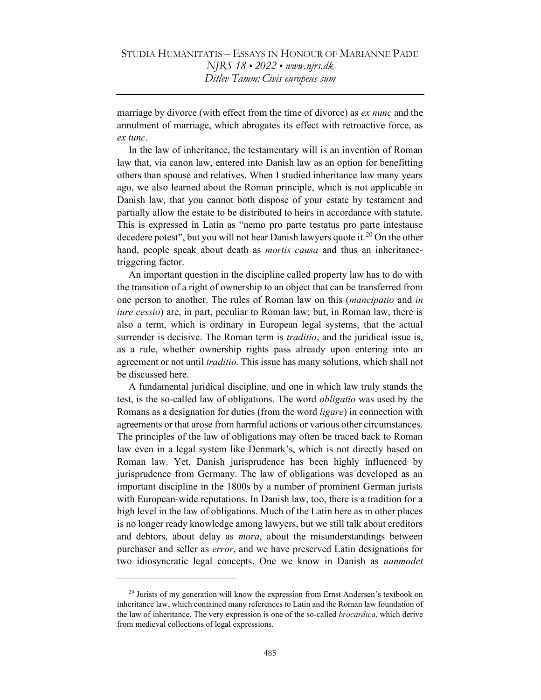marriage by divorce (with effect from the time of divorce) as *ex nunc* and the annulment of marriage, which abrogates its effect with retroactive force, as ex tunc.

In the law of inheritance, the testamentary will is an invention of Roman law that, via canon law, entered into Danish law as an option for benefitting others than spouse and relatives. When I studied inheritance law many years ago, we also learned about the Roman principle, which is not applicable in Danish law, that you cannot both dispose of your estate by testament and partially allow the estate to be distributed to heirs in accordance with statute. This is expressed in Latin as "nemo pro parte testatus pro parte intestause decedere potest", but you will not hear Danish lawyers quote it.<sup>20</sup> On the other hand, people speak about death as *mortis causa* and thus an inheritancetriggering factor.

An important question in the discipline called property law has to do with the transition of a right of ownership to an object that can be transferred from one person to another. The rules of Roman law on this (mancipatio and in iure cessio) are, in part, peculiar to Roman law; but, in Roman law, there is also a term, which is ordinary in European legal systems, that the actual surrender is decisive. The Roman term is *traditio*, and the juridical issue is, as a rule, whether ownership rights pass already upon entering into an agreement or not until *traditio*. This issue has many solutions, which shall not be discussed here.

A fundamental juridical discipline, and one in which law truly stands the test, is the so-called law of obligations. The word obligatio was used by the Romans as a designation for duties (from the word *ligare*) in connection with agreements or that arose from harmful actions or various other circumstances. The principles of the law of obligations may often be traced back to Roman law even in a legal system like Denmark's, which is not directly based on Roman law. Yet, Danish jurisprudence has been highly influenced by jurisprudence from Germany. The law of obligations was developed as an important discipline in the 1800s by a number of prominent German jurists with European-wide reputations. In Danish law, too, there is a tradition for a high level in the law of obligations. Much of the Latin here as in other places is no longer ready knowledge among lawyers, but we still talk about creditors and debtors, about delay as *mora*, about the misunderstandings between purchaser and seller as error, and we have preserved Latin designations for two idiosyncratic legal concepts. One we know in Danish as uanmodet

 $20$  Jurists of my generation will know the expression from Ernst Andersen's textbook on inheritance law, which contained many references to Latin and the Roman law foundation of the law of inheritance. The very expression is one of the so-called *brocardica*, which derive from medieval collections of legal expressions.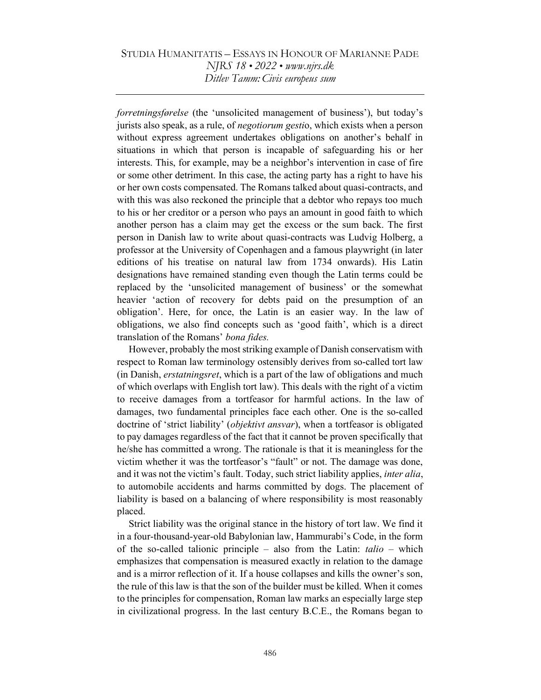forretningsførelse (the 'unsolicited management of business'), but today's jurists also speak, as a rule, of *negotiorum gestio*, which exists when a person without express agreement undertakes obligations on another's behalf in situations in which that person is incapable of safeguarding his or her interests. This, for example, may be a neighbor's intervention in case of fire or some other detriment. In this case, the acting party has a right to have his or her own costs compensated. The Romans talked about quasi-contracts, and with this was also reckoned the principle that a debtor who repays too much to his or her creditor or a person who pays an amount in good faith to which another person has a claim may get the excess or the sum back. The first person in Danish law to write about quasi-contracts was Ludvig Holberg, a professor at the University of Copenhagen and a famous playwright (in later editions of his treatise on natural law from 1734 onwards). His Latin designations have remained standing even though the Latin terms could be replaced by the 'unsolicited management of business' or the somewhat heavier 'action of recovery for debts paid on the presumption of an obligation'. Here, for once, the Latin is an easier way. In the law of obligations, we also find concepts such as 'good faith', which is a direct translation of the Romans' bona fides.

However, probably the most striking example of Danish conservatism with respect to Roman law terminology ostensibly derives from so-called tort law (in Danish, erstatningsret, which is a part of the law of obligations and much of which overlaps with English tort law). This deals with the right of a victim to receive damages from a tortfeasor for harmful actions. In the law of damages, two fundamental principles face each other. One is the so-called doctrine of 'strict liability' (*objektivt ansvar*), when a tortfeasor is obligated to pay damages regardless of the fact that it cannot be proven specifically that he/she has committed a wrong. The rationale is that it is meaningless for the victim whether it was the tortfeasor's "fault" or not. The damage was done, and it was not the victim's fault. Today, such strict liability applies, inter alia, to automobile accidents and harms committed by dogs. The placement of liability is based on a balancing of where responsibility is most reasonably placed.

Strict liability was the original stance in the history of tort law. We find it in a four-thousand-year-old Babylonian law, Hammurabi's Code, in the form of the so-called talionic principle – also from the Latin:  $talio$  – which emphasizes that compensation is measured exactly in relation to the damage and is a mirror reflection of it. If a house collapses and kills the owner's son, the rule of this law is that the son of the builder must be killed. When it comes to the principles for compensation, Roman law marks an especially large step in civilizational progress. In the last century B.C.E., the Romans began to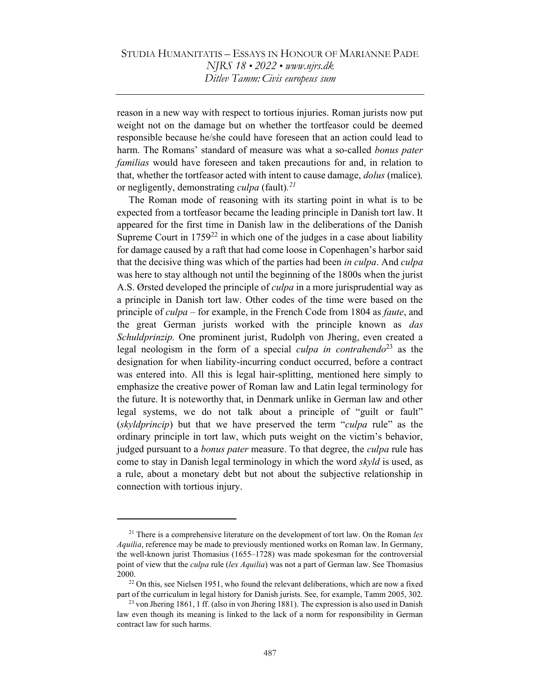reason in a new way with respect to tortious injuries. Roman jurists now put weight not on the damage but on whether the tortfeasor could be deemed responsible because he/she could have foreseen that an action could lead to harm. The Romans' standard of measure was what a so-called bonus pater familias would have foreseen and taken precautions for and, in relation to that, whether the tortfeasor acted with intent to cause damage, dolus (malice), or negligently, demonstrating *culpa* (fault).<sup>21</sup>

The Roman mode of reasoning with its starting point in what is to be expected from a tortfeasor became the leading principle in Danish tort law. It appeared for the first time in Danish law in the deliberations of the Danish Supreme Court in  $1759^{22}$  in which one of the judges in a case about liability for damage caused by a raft that had come loose in Copenhagen's harbor said that the decisive thing was which of the parties had been in culpa. And culpa was here to stay although not until the beginning of the 1800s when the jurist A.S. Ørsted developed the principle of *culpa* in a more jurisprudential way as a principle in Danish tort law. Other codes of the time were based on the principle of *culpa* – for example, in the French Code from 1804 as *faute*, and the great German jurists worked with the principle known as das Schuldprinzip. One prominent jurist, Rudolph von Jhering, even created a legal neologism in the form of a special *culpa in contrahendo*<sup>23</sup> as the designation for when liability-incurring conduct occurred, before a contract was entered into. All this is legal hair-splitting, mentioned here simply to emphasize the creative power of Roman law and Latin legal terminology for the future. It is noteworthy that, in Denmark unlike in German law and other legal systems, we do not talk about a principle of "guilt or fault" (skyldprincip) but that we have preserved the term "culpa rule" as the ordinary principle in tort law, which puts weight on the victim's behavior, judged pursuant to a *bonus pater* measure. To that degree, the *culpa* rule has come to stay in Danish legal terminology in which the word skyld is used, as a rule, about a monetary debt but not about the subjective relationship in connection with tortious injury.

<sup>&</sup>lt;sup>21</sup> There is a comprehensive literature on the development of tort law. On the Roman *lex* Aquilia, reference may be made to previously mentioned works on Roman law. In Germany, the well-known jurist Thomasius (1655–1728) was made spokesman for the controversial point of view that the culpa rule (lex Aquilia) was not a part of German law. See Thomasius 2000.

 $22$  On this, see Nielsen 1951, who found the relevant deliberations, which are now a fixed part of the curriculum in legal history for Danish jurists. See, for example, Tamm 2005, 302.

 $^{23}$  von Jhering 1861, 1 ff. (also in von Jhering 1881). The expression is also used in Danish law even though its meaning is linked to the lack of a norm for responsibility in German contract law for such harms.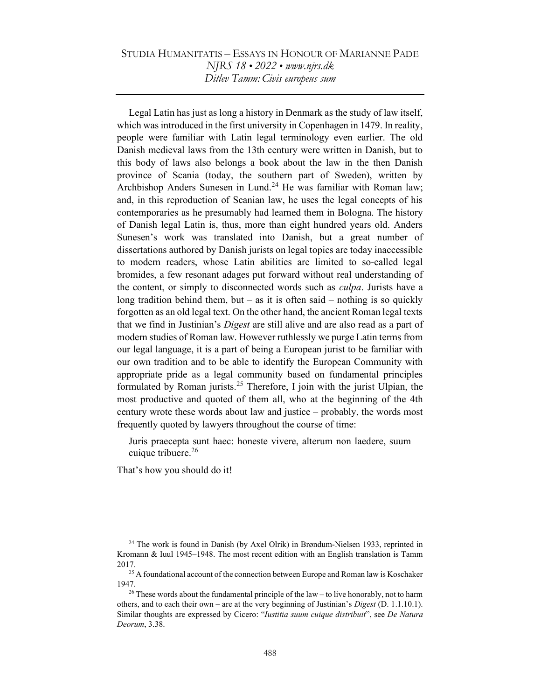Legal Latin has just as long a history in Denmark as the study of law itself, which was introduced in the first university in Copenhagen in 1479. In reality, people were familiar with Latin legal terminology even earlier. The old Danish medieval laws from the 13th century were written in Danish, but to this body of laws also belongs a book about the law in the then Danish province of Scania (today, the southern part of Sweden), written by Archbishop Anders Sunesen in Lund.<sup>24</sup> He was familiar with Roman law; and, in this reproduction of Scanian law, he uses the legal concepts of his contemporaries as he presumably had learned them in Bologna. The history of Danish legal Latin is, thus, more than eight hundred years old. Anders Sunesen's work was translated into Danish, but a great number of dissertations authored by Danish jurists on legal topics are today inaccessible to modern readers, whose Latin abilities are limited to so-called legal bromides, a few resonant adages put forward without real understanding of the content, or simply to disconnected words such as *culpa*. Jurists have a long tradition behind them, but – as it is often said – nothing is so quickly forgotten as an old legal text. On the other hand, the ancient Roman legal texts that we find in Justinian's Digest are still alive and are also read as a part of modern studies of Roman law. However ruthlessly we purge Latin terms from our legal language, it is a part of being a European jurist to be familiar with our own tradition and to be able to identify the European Community with appropriate pride as a legal community based on fundamental principles formulated by Roman jurists.<sup>25</sup> Therefore, I join with the jurist Ulpian, the most productive and quoted of them all, who at the beginning of the 4th century wrote these words about law and justice – probably, the words most frequently quoted by lawyers throughout the course of time:

Juris praecepta sunt haec: honeste vivere, alterum non laedere, suum cuique tribuere. $26$ 

That's how you should do it!

<sup>&</sup>lt;sup>24</sup> The work is found in Danish (by Axel Olrik) in Brøndum-Nielsen 1933, reprinted in Kromann & Iuul 1945–1948. The most recent edition with an English translation is Tamm 2017.

<sup>&</sup>lt;sup>25</sup> A foundational account of the connection between Europe and Roman law is Koschaker 1947.

<sup>&</sup>lt;sup>26</sup> These words about the fundamental principle of the law – to live honorably, not to harm others, and to each their own – are at the very beginning of Justinian's *Digest* (D. 1.1.10.1). Similar thoughts are expressed by Cicero: "Iustitia suum cuique distribuit", see De Natura Deorum, 3.38.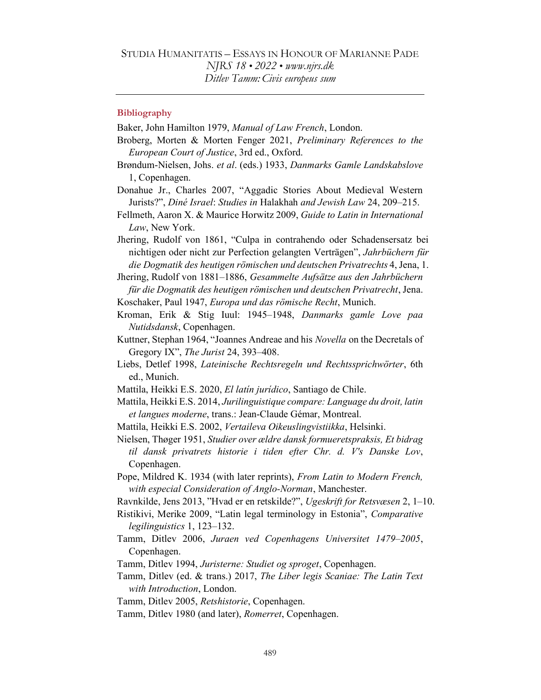### **Bibliography**

Baker, John Hamilton 1979, Manual of Law French, London.

- Broberg, Morten & Morten Fenger 2021, Preliminary References to the European Court of Justice, 3rd ed., Oxford.
- Brøndum-Nielsen, Johs. et al. (eds.) 1933, Danmarks Gamle Landskabslove 1, Copenhagen.

Donahue Jr., Charles 2007, "Aggadic Stories About Medieval Western Jurists?", Diné Israel: Studies in Halakhah and Jewish Law 24, 209–215.

Fellmeth, Aaron X. & Maurice Horwitz 2009, Guide to Latin in International Law, New York.

Jhering, Rudolf von 1861, "Culpa in contrahendo oder Schadensersatz bei nichtigen oder nicht zur Perfection gelangten Verträgen", Jahrbüchern für die Dogmatik des heutigen römischen und deutschen Privatrechts 4, Jena, 1.

Jhering, Rudolf von 1881–1886, Gesammelte Aufsätze aus den Jahrbüchern für die Dogmatik des heutigen römischen und deutschen Privatrecht, Jena.

Koschaker, Paul 1947, Europa und das römische Recht, Munich.

- Kroman, Erik & Stig Iuul: 1945–1948, Danmarks gamle Love paa Nutidsdansk, Copenhagen.
- Kuttner, Stephan 1964, "Joannes Andreae and his Novella on the Decretals of Gregory IX", The Jurist 24, 393–408.
- Liebs, Detlef 1998, Lateinische Rechtsregeln und Rechtssprichwörter, 6th ed., Munich.
- Mattila, Heikki E.S. 2020, El latín jurídico, Santiago de Chile.
- Mattila, Heikki E.S. 2014, Jurilinguistique compare: Language du droit, latin et langues moderne, trans.: Jean-Claude Gémar, Montreal.

Mattila, Heikki E.S. 2002, Vertaileva Oikeuslingvistiikka, Helsinki.

Nielsen, Thøger 1951, Studier over ældre dansk formueretspraksis, Et bidrag til dansk privatrets historie i tiden efter Chr. d. V's Danske Lov, Copenhagen.

- Pope, Mildred K. 1934 (with later reprints), From Latin to Modern French, with especial Consideration of Anglo-Norman, Manchester.
- Ravnkilde, Jens 2013, "Hvad er en retskilde?", Ugeskrift for Retsvæsen 2, 1–10.
- Ristikivi, Merike 2009, "Latin legal terminology in Estonia", Comparative legilinguistics 1, 123–132.
- Tamm, Ditlev 2006, Juraen ved Copenhagens Universitet 1479–2005, Copenhagen.

Tamm, Ditlev 1994, Juristerne: Studiet og sproget, Copenhagen.

- Tamm, Ditlev (ed. & trans.) 2017, The Liber legis Scaniae: The Latin Text with Introduction, London.
- Tamm, Ditlev 2005, Retshistorie, Copenhagen.
- Tamm, Ditlev 1980 (and later), Romerret, Copenhagen.